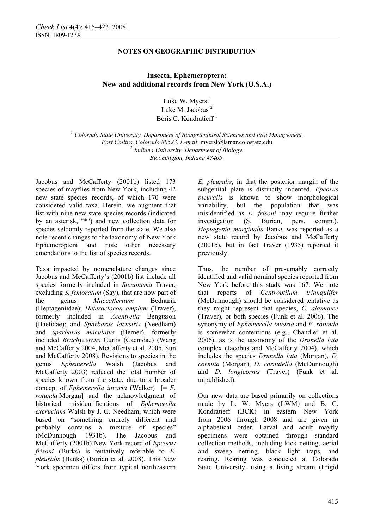# **Insecta, Ephemeroptera: New and additional records from New York (U.S.A.)**

Luke W. Myers $<sup>1</sup>$ </sup> Luke M. Jacobus<sup>2</sup> Boris C. Kondratieff<sup>1</sup>

<sup>1</sup> Colorado State University. Department of Bioagricultural Sciences and Pest Management. *Fort Collins, Colorado 80523. E-mail*: myersl@lamar.colostate.edu <sup>2</sup> *Indiana University. Department of Biology. Bloomington, Indiana 47405*.

Jacobus and McCafferty (2001b) listed 173 species of mayflies from New York, including 42 new state species records, of which 170 were considered valid taxa. Herein, we augment that list with nine new state species records (indicated by an asterisk, "\*") and new collection data for species seldomly reported from the state. We also note recent changes to the taxonomy of New York Ephemeroptera and note other necessary emendations to the list of species records.

Taxa impacted by nomenclature changes since Jacobus and McCafferty's (2001b) list include all species formerly included in *Stenonema* Traver, excluding *S. femoratum* (Say), that are now part of the genus *Maccaffertium* Bednarik (Heptageniidae); *Heterocloeon amplum* (Traver), formerly included in *Acentrella* Bengtsson (Baetidae); and *Sparbarus lacustris* (Needham) and *Sparbarus maculatus* (Berner), formerly included *Brachycercus* Curtis (Caenidae) (Wang and McCafferty 2004, McCafferty et al. 2005, Sun and McCafferty 2008). Revisions to species in the genus *Ephemerella* Walsh (Jacobus and McCafferty 2003) reduced the total number of species known from the state, due to a broader concept of *Ephemerella invaria* (Walker) [= *E. rotunda* Morgan] and the acknowledgment of historical misidentifications of *Ephemerella excrucians* Walsh by J. G. Needham, which were based on "something entirely different and probably contains a mixture of species" (McDunnough 1931b). The Jacobus and McCafferty (2001b) New York record of *Epeorus frisoni* (Burks) is tentatively referable to *E. pleuralis* (Banks) (Burian et al. 2008). This New York specimen differs from typical northeastern

*E. pleuralis*, in that the posterior margin of the subgenital plate is distinctly indented. *Epeorus pleuralis* is known to show morphological variability, but the population that was misidentified as *E. frisoni* may require further investigation (S. Burian, pers. comm.). *Heptagenia marginalis* Banks was reported as a new state record by Jacobus and McCafferty (2001b), but in fact Traver (1935) reported it previously.

Thus, the number of presumably correctly identified and valid nominal species reported from New York before this study was 167. We note that reports of *Centroptilum triangulifer* (McDunnough) should be considered tentative as they might represent that species, *C. alamance* (Traver), or both species (Funk et al. 2006). The synonymy of *Ephemerella invaria* and *E. rotunda* is somewhat contentious (e.g., Chandler et al. 2006), as is the taxonomy of the *Drunella lata* complex (Jacobus and McCafferty 2004), which includes the species *Drunella lata* (Morgan), *D. cornuta* (Morgan), *D. cornutella* (McDunnough) and *D. longicornis* (Traver) (Funk et al. unpublished).

Our new data are based primarily on collections made by L. W. Myers (LWM) and B. C. Kondratieff (BCK) in eastern New York from 2006 through 2008 and are given in alphabetical order. Larval and adult mayfly specimens were obtained through standard collection methods, including kick netting, aerial and sweep netting, black light traps, and rearing. Rearing was conducted at Colorado State University, using a living stream (Frigid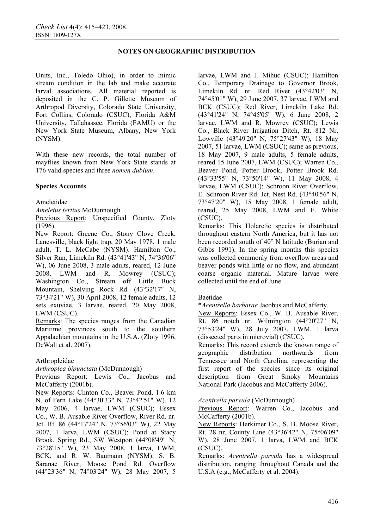Units, Inc., Toledo Ohio), in order to mimic stream condition in the lab and make accurate larval associations. All material reported is deposited in the C. P. Gillette Museum of Arthropod Diversity, Colorado State University, Fort Collins, Colorado (CSUC), Florida A&M University, Tallahassee, Florida (FAMU) or the New York State Museum, Albany, New York (NYSM).

With these new records, the total number of mayflies known from New York State stands at 176 valid species and three *nomen dubium*.

## **Species Accounts**

Ameletidae

*Ameletus tertius* McDunnough

Previous Report: Unspecified County, Zloty (1996).

New Report: Greene Co., Stony Clove Creek, Lanesville, black light trap, 20 May 1978, 1 male adult, T. L. McCabe (NYSM). Hamilton Co., Silver Run, Limekiln Rd. (43°41'43" N, 74°36'06" W), 06 June 2008, 3 male adults, reared, 12 June 2008, LWM and R. Mowrey (CSUC); Washington Co., Stream off Little Buck Mountain, Shelving Rock Rd. (43°32'17" N, 73°34'21" W), 30 April 2008, 12 female adults, 12 sets exuviae, 3 larvae, reared, 20 May 2008, LWM (CSUC).

Remarks: The species ranges from the Canadian Maritime provinces south to the southern Appalachian mountains in the U.S.A. (Zloty 1996, DeWalt et al. 2007).

# Arthropleidae

*Arthroplea bipunctata* (McDunnough)

Previous Report: Lewis Co., Jacobus and McCafferty (2001b).

New Reports: Clinton Co., Beaver Pond, 1.6 km N. of Fern Lake (44°30'33" N, 73°42'51" W), 12 May 2006, 4 larvae, LWM (CSUC); Essex Co., W. B. Ausable River Overflow, River Rd. nr. Jct. Rt. 86 (44°17'24" N, 73°56'03" W), 22 May 2007, 1 larva, LWM (CSUC); Pond at Stacy Brook, Spring Rd., SW Westport (44°08'49" N, 73°28'15" W), 23 May 2008, 1 larva, LWM, BCK, and R. W. Baumann (NYSM); S. B. Saranac River, Moose Pond Rd. Overflow (44°23'36" N, 74°03'24" W), 28 May 2007, 5 larvae, LWM and J. Mihuc (CSUC); Hamilton Co., Temporary Drainage to Governor Brook, Limekiln Rd. nr. Red River (43°42'03" N, 74°45'01" W), 29 June 2007, 37 larvae, LWM and BCK (CSUC); Red River, Limekiln Lake Rd. (43°41'24" N, 74°45'05" W), 6 June 2008, 2 larvae, LWM and R. Mowrey (CSUC); Lewis Co., Black River Irrigation Ditch, Rt. 812 Nr. Lowville (43°49'20" N, 75°27'43" W), 18 May 2007, 51 larvae, LWM (CSUC); same as previous, 18 May 2007, 9 male adults, 5 female adults, reared 15 June 2007, LWM (CSUC); Warren Co., Beaver Pond, Potter Brook, Potter Brook Rd. (43°33'55" N, 73°50'14" W), 11 May 2008, 4 larvae, LWM (CSUC); Schroon River Overflow, E. Schroon River Rd. Jct. Nest Rd. (43°40'56" N, 73°47'20" W), 15 May 2008, 1 female adult, reared, 25 May 2008, LWM and E. White (CSUC).

Remarks: This Holarctic species is distributed throughout eastern North America, but it has not been recorded south of 40° N latitude (Burian and Gibbs 1991). In the spring months this species was collected commonly from overflow areas and beaver ponds with little or no flow, and abundant coarse organic material. Mature larvae were collected until the end of June.

### Baetidae

\**Acentrella barbarae* Jacobus and McCafferty.

New Reports: Essex Co., W. B. Ausable River, Rt. 86 notch nr. Wilmington (44°20'27" N, 73°53'24" W), 28 July 2007, LWM, 1 larva (dissected parts in microvial) (CSUC).

Remarks: This record extends the known range of geographic distribution northwards from Tennessee and North Carolina, representing the first report of the species since its original description from Great Smoky Mountains National Park (Jacobus and McCafferty 2006).

### *Acentrella parvula* (McDunnough)

Previous Report: Warren Co., Jacobus and McCafferty (2001b).

New Reports: Herkimer Co., S. B. Moose River, Rt. 28 nr. County Line (43°36'42" N, 75°06'09" W), 28 June 2007, 1 larva, LWM and BCK (CSUC).

Remarks: *Acentrella parvula* has a widespread distribution, ranging throughout Canada and the U.S.A (e.g., McCafferty et al. 2004).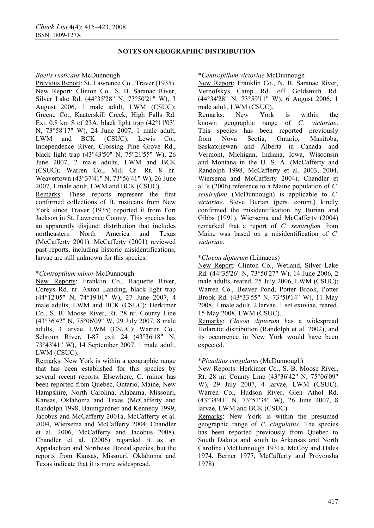## *Baetis rusticans* McDunnough

Previous Report: St. Lawrence Co., Traver (1935). New Report: Clinton Co., S. B. Saranac River, Silver Lake Rd. (44°35'28" N, 73°50'21" W), 3 August 2006, 1 male adult, LWM (CSUC); Greene Co., Kaaterskill Creek, High Falls Rd. Ext. 0.8 km S of 23A, black light trap  $(42^{\circ}11'03'')$ N, 73°58'17" W), 24 June 2007, 1 male adult, LWM and BCK (CSUC); Lewis Co., Independence River, Crossing Pine Grove Rd., black light trap (43°43'50" N, 75°21'55" W), 26 June 2007, 2 male adults, LWM and BCK (CSUC); Warren Co., Mill Cr. Rt. 8 nr. Weavertown (43°37'41" N, 73°56'41" W), 26 June 2007, 1 male adult, LWM and BCK (CSUC). Remarks: These reports represent the first

confirmed collections of B. rusticans from New York since Traver (1935) reported it from Fort Jackson in St. Lawrence County. This species has an apparently disjunct distribution that includes northeastern North America and Texas (McCafferty 2001). McCafferty (2001) reviewed past reports, including historic misidentifications; larvae are still unknown for this species.

# \**Centroptilum minor* McDunnough

New Reports: Franklin Co., Raquette River, Coreys Rd. nr. Axton Landing, black light trap (44°12'05" N, 74°19'01" W), 27 June 2007, 4 male adults, LWM and BCK (CSUC); Herkimer Co., S. B. Moose River, Rt. 28 nr. County Line (43°36'42" N, 75°06'09" W, 29 July 2007, 8 male adults, 3 larvae, LWM (CSUC); Warren Co., Schroon River, I-87 exit 24 (43°36'18" N, 73°43'41" W), 14 September 2007, 1 male adult, LWM (CSUC).

Remarks: New York is within a geographic range that has been established for this species by several recent reports. Elsewhere, C. minor has been reported from Quebec, Ontario, Maine, New Hampshire, North Carolina, Alabama, Missouri, Kansas, Oklahoma and Texas (McCafferty and Randolph 1998, Baumgardner and Kennedy 1999, Jacobus and McCafferty 2001a, McCafferty et al. 2004, Wiersema and McCafferty 2004; Chandler et al. 2006, McCafferty and Jacobus 2008). Chandler et al. (2006) regarded it as an Appalachian and Northeast Boreal species, but the reports from Kansas, Missouri, Oklahoma and Texas indicate that it is more widespread.

## \**Centroptilum victoriae* McDunnough

New Report: Franklin Co., N. B. Saranac River, Vernofskys Camp Rd. off Goldsmith Rd. (44°34'28" N, 73°59'11" W), 6 August 2006, 1 male adult, LWM (CSUC).

Remarks: New York is within the known geographic range of *C. victoriae*. This species has been reported previously from Nova Scotia, Ontario, Manitoba, Saskatchewan and Alberta in Canada and Vermont, Michigan, Indiana, Iowa, Wisconsin and Montana in the U. S. A. (McCafferty and Randolph 1998, McCafferty et al. 2003, 2004, Wiersema and McCafferty 2004). Chandler et al.'s (2006) reference to a Maine population of *C. semirufum* (McDunnough) is applicable to *C. victoriae*. Steve Burian (pers. comm.) kindly confirmed the misidentification by Burian and Gibbs (1991). Wiersema and McCafferty (2004) remarked that a report of *C. semirufum* from Maine was based on a misidentification of *C. victoriae*.

# \**Cloeon dipterum* (Linnaeus)

New Report: Clinton Co., Wetland, Silver Lake Rd. (44°35'26" N, 73°50'27" W), 14 June 2006, 2 male adults, reared, 25 July 2006, LWM (CSUC); Warren Co., Beaver Pond, Potter Brook, Potter Brook Rd. (43°33'55" N, 73°50'14" W), 11 May 2008, 1 male adult, 2 larvae, 1 set exuviae, reared, 15 May 2008, LWM (CSUC).

Remarks: *Cloeon dipterum* has a widespread Holarctic distribution (Randolph et al. 2002), and its occurrence in New York would have been expected.

# \**Plauditus cingulatus* (McDunnough)

New Reports: Herkimer Co., S. B. Moose River, Rt. 28 nr. County Line (43°36'42" N, 75°06'09" W), 29 July 2007, 4 larvae, LWM (CSUC). Warren Co., Hudson River, Glen Athol Rd. (43°34'41" N, 73°51'34" W), 26 June 2007, 8 larvae, LWM and BCK (CSUC).

Remarks: New York is within the presumed geographic range of *P*. *cingulatus*. The species has been reported previously from Quebec to South Dakota and south to Arkansas and North Carolina (McDunnough 1931a, McCoy and Hales 1974, Berner 1977, McCafferty and Provonsha 1978).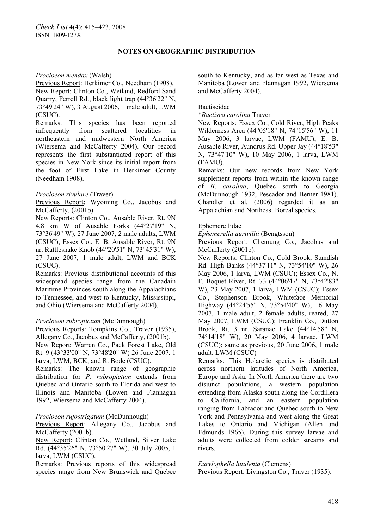## *Procloeon mendax* (Walsh)

Previous Report: Herkimer Co., Needham (1908). New Report: Clinton Co., Wetland, Redford Sand Quarry, Ferrell Rd., black light trap (44°36'22" N, 73°49'24" W), 3 August 2006, 1 male adult, LWM (CSUC).

Remarks: This species has been reported infrequently from scattered localities in northeastern and midwestern North America (Wiersema and McCafferty 2004). Our record represents the first substantiated report of this species in New York since its initial report from the foot of First Lake in Herkimer County (Needham 1908).

# *Procloeon rivulare* (Traver)

Previous Report: Wyoming Co., Jacobus and McCafferty, (2001b).

New Reports: Clinton Co., Ausable River, Rt. 9N 4.8 km W of Ausable Forks (44°27'19" N, 73°36'49" W), 27 June 2007, 2 male adults, LWM (CSUC); Essex Co., E. B. Ausable River, Rt. 9N nr. Rattlesnake Knob (44°20'51" N, 73°45'31" W), 27 June 2007, 1 male adult, LWM and BCK (CSUC).

Remarks: Previous distributional accounts of this widespread species range from the Canadain Maritime Provinces south along the Appalachians to Tennessee, and west to Kentucky, Mississippi, and Ohio (Wiersema and McCafferty 2004).

# *Procloeon rubropictum* (McDunnough)

Previous Reports: Tompkins Co., Traver (1935), Allegany Co., Jacobus and McCafferty, (2001b). New Report: Warren Co., Pack Forest Lake, Old Rt. 9 (43°33'00" N, 73°48'20" W) 26 June 2007, 1 larva, LWM, BCK, and R. Bode (CSUC).

Remarks: The known range of geographic distribution for *P*. *rubropictum* extends from Quebec and Ontario south to Florida and west to Illinois and Manitoba (Lowen and Flannagan 1992, Wiersema and McCafferty 2004).

### *Procloeon rufostrigatum* (McDunnough)

Previous Report: Allegany Co., Jacobus and McCafferty (2001b).

New Report: Clinton Co., Wetland, Silver Lake Rd. (44°35'26" N, 73°50'27" W), 30 July 2005, 1 larva, LWM (CSUC).

Remarks: Previous reports of this widespread species range from New Brunswick and Quebec south to Kentucky, and as far west as Texas and Manitoba (Lowen and Flannagan 1992, Wiersema and McCafferty 2004).

### Baetiscidae

\**Baetisca carolina* Traver

New Reports: Essex Co., Cold River, High Peaks Wilderness Area (44°05'18" N, 74°15'56" W), 11 May 2006, 3 larvae, LWM (FAMU); E. B. Ausable River, Aundrus Rd. Upper Jay (44°18'53" N, 73°47'10" W), 10 May 2006, 1 larva, LWM (FAMU).

Remarks: Our new records from New York supplement reports from within the known range of *B*. *carolina*, Quebec south to Georgia (McDunnough 1932, Pescador and Berner 1981). Chandler et al. (2006) regarded it as an Appalachian and Northeast Boreal species.

## Ephemerellidae

*Ephemerella aurivillii* (Bengtsson)

Previous Report: Chemung Co., Jacobus and McCafferty (2001b).

New Reports: Clinton Co., Cold Brook, Standish Rd. High Banks (44°37'11" N, 73°54'10" W), 26 May 2006, 1 larva, LWM (CSUC); Essex Co., N. F. Boquet River, Rt. 73 (44°06'47" N, 73°42'83" W), 23 May 2007, 1 larva, LWM (CSUC); Essex Co., Stephenson Brook, Whiteface Memorial Highway (44°24'55" N, 73°54'40" W), 16 May 2007, 1 male adult, 2 female adults, reared, 27 May 2007, LWM (CSUC); Franklin Co., Dutton Brook, Rt. 3 nr. Saranac Lake (44°14'58" N, 74°14'18" W), 20 May 2006, 4 larvae, LWM (CSUC); same as previous, 20 June 2006, 1 male adult, LWM (CSUC)

Remarks: This Holarctic species is distributed across northern latitudes of North America, Europe and Asia. In North America there are two disjunct populations, a western population extending from Alaska south along the Cordillera to California, and an eastern population ranging from Labrador and Quebec south to New York and Pennsylvania and west along the Great Lakes to Ontario and Michigan (Allen and Edmunds 1965). During this survey larvae and adults were collected from colder streams and rivers.

*Eurylophella lutulenta* (Clemens) Previous Report: Livingston Co., Traver (1935).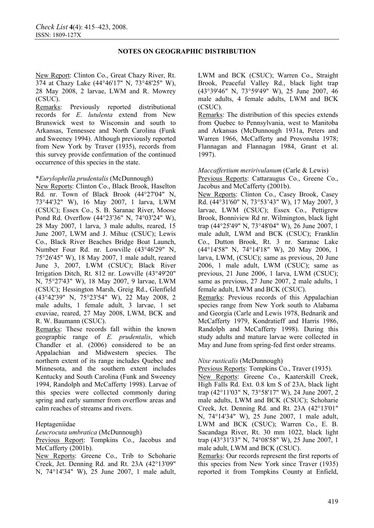New Report: Clinton Co., Great Chazy River, Rt. 374 at Chazy Lake (44°46'17" N, 73°48'25" W), 28 May 2008, 2 larvae, LWM and R. Mowrey (CSUC).

Remarks: Previously reported distributional records for *E*. *lutulenta* extend from New Brunswick west to Wisconsin and south to Arkansas, Tennessee and North Carolina (Funk and Sweeney 1994). Although previously reported from New York by Traver (1935), records from this survey provide confirmation of the continued occurrence of this species in the state.

## \**Eurylophella prudentalis* (McDunnough)

New Reports: Clinton Co., Black Brook, Haselton Rd. nr. Town of Black Brook (44°27'04" N, 73°44'32" W), 16 May 2007, 1 larva, LWM (CSUC); Essex Co., S. B. Saranac River, Moose Pond Rd. Overflow (44°23'36" N, 74°03'24" W), 28 May 2007, 1 larva, 3 male adults, reared, 15 June 2007, LWM and J. Mihuc (CSUC); Lewis Co., Black River Beaches Bridge Boat Launch, Number Four Rd. nr. Lowville (43°46'29" N, 75°26'45" W), 18 May 2007, 1 male adult, reared June 3, 2007, LWM (CSUC); Black River Irrigation Ditch, Rt. 812 nr. Lowville (43°49'20" N, 75°27'43" W), 18 May 2007, 9 larvae, LWM (CSUC); Hessington Marsh, Greig Rd., Glenfield (43°42'39" N, 75°23'54" W), 22 May 2008, 2 male adults, 1 female adult, 3 larvae, 1 set exuviae, reared, 27 May 2008, LWM, BCK and R. W. Baumann (CSUC).

Remarks: These records fall within the known geographic range of *E. prudentalis*, which Chandler et al. (2006) considered to be an Appalachian and Midwestern species. The northern extent of its range includes Quebec and Minnesota, and the southern extent includes Kentucky and South Carolina (Funk and Sweeney 1994, Randolph and McCafferty 1998). Larvae of this species were collected commonly during spring and early summer from overflow areas and calm reaches of streams and rivers.

### Heptageniidae

*Leucrocuta umbratica* (McDunnough)

Previous Report: Tompkins Co., Jacobus and McCafferty (2001b).

New Reports: Greene Co., Trib to Schoharie Creek, Jct. Denning Rd. and Rt. 23A (42°13'09" N, 74°14'34" W), 25 June 2007, 1 male adult, LWM and BCK (CSUC); Warren Co., Straight Brook, Peaceful Valley Rd., black light trap (43°39'46" N, 73°59'49" W), 25 June 2007, 46 male adults, 4 female adults, LWM and BCK (CSUC).

Remarks: The distribution of this species extends from Quebec to Pennsylvania, west to Manitoba and Arkansas (McDunnough 1931a, Peters and Warren 1966, McCafferty and Provonsha 1978; Flannagan and Flannagan 1984, Grant et al. 1997).

*Maccaffertium meririvulanum* (Carle & Lewis) Previous Reports: Cattaraugus Co., Greene Co., Jacobus and McCafferty (2001b).

New Reports: Clinton Co., Casey Brook, Casey Rd. (44°31'60" N, 73°53'43" W), 17 May 2007, 3 larvae, LWM (CSUC); Essex Co., Pettigrew Brook, Bonniview Rd nr. Wilmington, black light trap (44°25'49" N, 73°48'04" W), 26 June 2007, 1 male adult, LWM and BCK (CSUC); Franklin Co., Dutton Brook, Rt. 3 nr. Saranac Lake (44°14'58" N, 74°14'18" W), 20 May 2006, 1 larva, LWM, (CSUC); same as previous, 20 June 2006, 1 male adult, LWM (CSUC); same as previous, 21 June 2006, 1 larva, LWM (CSUC); same as previous, 27 June 2007, 2 male adults, 1 female adult, LWM and BCK (CSUC).

Remarks: Previous records of this Appalachian species range from New York south to Alabama and Georgia (Carle and Lewis 1978, Bednarik and McCafferty 1979, Kondratieff and Harris 1986, Randolph and McCafferty 1998). During this study adults and mature larvae were collected in May and June from spring-fed first order streams.

# *Nixe rusticalis* (McDunnough)

Previous Reports: Tompkins Co., Traver (1935).

New Reports: Greene Co., Kaaterskill Creek, High Falls Rd. Ext. 0.8 km S of 23A, black light trap (42°11'03" N, 73°58'17" W), 24 June 2007, 2 male adults, LWM and BCK (CSUC); Schoharie Creek, Jct. Denning Rd. and Rt. 23A (42°13'01" N, 74°14'34" W), 25 June 2007, 1 male adult, LWM and BCK (CSUC); Warren Co., E. B. Sacandaga River, Rt. 30 mm 1022, black light trap (43°31'33" N, 74°08'58" W), 25 June 2007, 1 male adult, LWM and BCK (CSUC).

Remarks: Our records represent the first reports of this species from New York since Traver (1935) reported it from Tompkins County at Enfield,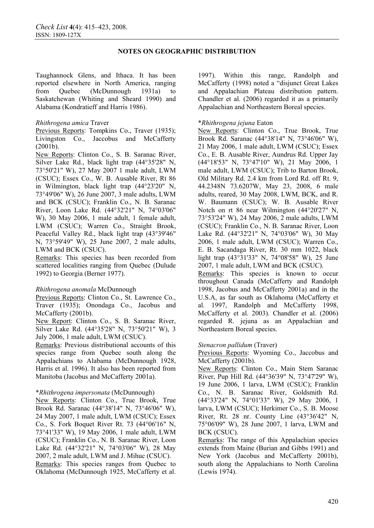Taughannock Glens, and Ithaca. It has been reported elsewhere in North America, ranging from Quebec (McDunnough 1931a) to Saskatchewan (Whiting and Sheard 1990) and Alabama (Kondratieff and Harris 1986).

## *Rhithrogena amica* Traver

Previous Reports: Tompkins Co., Traver (1935); Livingston Co., Jaccobus and McCafferty (2001b).

New Reports: Clinton Co., S. B. Saranac River, Silver Lake Rd., black light trap (44°35'28" N, 73°50'21" W), 27 May 2007 1 male adult, LWM (CSUC); Essex Co., W. B. Ausable River, Rt 86 in Wilmington, black light trap (44°23'20" N, 73°49'06" W), 26 June 2007, 3 male adults, LWM and BCK (CSUC); Franklin Co., N. B. Saranac River, Loon Lake Rd. (44°32'21" N, 74°03'06" W), 30 May 2006, 1 male adult, 1 female adult, LWM (CSUC); Warren Co., Straight Brook, Peaceful Valley Rd., black light trap (43°39'46" N, 73°59'49" W), 25 June 2007, 2 male adults, LWM and BCK (CSUC).

Remarks: This species has been recorded from scattered localities ranging from Quebec (Dulude 1992) to Georgia (Berner 1977).

# *Rhithrogena anomala* McDunnough

Previous Reports: Clinton Co., St. Lawrence Co., Traver (1935); Onondaga Co., Jacobus and McCafferty (2001b).

New Report: Clinton Co., S. B. Saranac River, Silver Lake Rd. (44°35'28" N, 73°50'21" W), 3 July 2006, 1 male adult, LWM (CSUC).

Remarks: Previous distributional accounts of this species range from Quebec south along the Appalachians to Alabama (McDunnough 1928, Harris et al. 1996). It also has been reported from Manitoba (Jacobus and McCafferty 2001a).

### \**Rhithrogena impersonata* (McDunnough)

New Reports: Clinton Co., True Brook, True Brook Rd. Saranac (44°38'14" N, 73°46'06" W), 24 May 2007, 1 male adult, LWM (CSUC); Essex Co., S. Fork Boquet River Rt. 73 (44°06'16" N, 73°41'33" W), 19 May 2006, 1 male adult, LWM (CSUC); Franklin Co., N. B. Saranac River, Loon Lake Rd. (44°32'21" N, 74°03'06" W), 28 May 2007, 2 male adult, LWM and J. Mihuc (CSUC).

Remarks: This species ranges from Quebec to Oklahoma (McDunnough 1925, McCafferty et al. 1997). Within this range, Randolph and McCafferty (1998) noted a "disjunct Great Lakes and Appalachian Plateau distribution pattern. Chandler et al. (2006) regarded it as a primarily Appalachian and Northeastern Boreal species.

## \**Rhithrogena jejuna* Eaton

New Reports: Clinton Co., True Brook, True Brook Rd. Saranac (44°38'14" N, 73°46'06" W), 21 May 2006, 1 male adult, LWM (CSUC); Essex Co., E. B. Ausable River, Aundrus Rd. Upper Jay (44°18'53" N, 73°47'10" W), 21 May 2006, 1 male adult, LWM (CSUC); Trib to Barton Brook, Old Military Rd. 2.4 km from Lord Rd. off Rt. 9, 44.2348N 73.6207W, May 23, 2008, 6 male adults, reared, 30 May 2008, LWM, BCK, and R. W. Baumann (CSUC); W. B. Ausable River Notch on rt 86 near Wilmington (44°20'27" N, 73°53'24" W), 24 May 2006, 2 male adults, LWM (CSUC); Franklin Co., N. B. Saranac River, Loon Lake Rd. (44°32'21" N, 74°03'06" W), 30 May 2006, 1 male adult, LWM (CSUC); Warren Co., E. B. Sacandaga River, Rt. 30 mm 1022, black light trap (43°31'33" N, 74°08'58" W), 25 June 2007, 1 male adult, LWM and BCK (CSUC). Remarks: This species is known to occur throughout Canada (McCafferty and Randolph 1998, Jacobus and McCafferty 2001a) and in the U.S.A, as far south as Oklahoma (McCafferty et al. 1997, Randolph and McCafferty 1998, McCafferty et al. 2003). Chandler et al. (2006) regarded R. jejuna as an Appalachian and Northeastern Boreal species.

### *Stenacron pallidum* (Traver)

Previous Reports: Wyoming Co., Jaccobus and McCafferty (2001b).

New Reports: Clinton Co., Main Stem Saranac River, Pup Hill Rd. (44°36'39" N, 73°47'29" W), 19 June 2006, 1 larva, LWM (CSUC); Franklin Co., N. B. Saranac River, Goldsmith Rd. (44°33'24" N, 74°01'33" W), 29 May 2006, 1 larva, LWM (CSUC); Herkimer Co., S. B. Moose River, Rt. 28 nr. County Line (43°36'42" N, 75°06'09" W), 28 June 2007, 1 larva, LWM and BCK (CSUC).

Remarks: The range of this Appalachian species extends from Maine (Burian and Gibbs 1991) and New York (Jacobus and McCafferty 2001b), south along the Appalachians to North Carolina (Lewis 1974).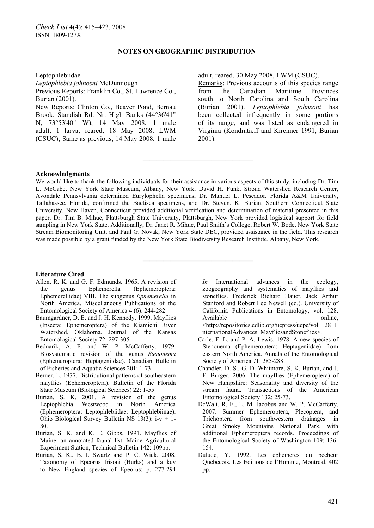#### Leptophlebiidae

*Leptophlebia johnosni* McDunnough Previous Reports: Franklin Co., St. Lawrence Co., Burian (2001).

New Reports: Clinton Co., Beaver Pond, Bernau Brook, Standish Rd. Nr. High Banks (44°36'41" N, 73°53'40" W), 14 May 2008, 1 male adult, 1 larva, reared, 18 May 2008, LWM (CSUC); Same as previous, 14 May 2008, 1 male adult, reared, 30 May 2008, LWM (CSUC).

Remarks: Previous accounts of this species range from the Canadian Maritime Provinces south to North Carolina and South Carolina (Burian 2001). *Leptophlebia johnsoni* has been collected infrequently in some portions of its range, and was listed as endangered in Virginia (Kondratieff and Kirchner 1991, Burian 2001).

#### **Acknowledgments**

We would like to thank the following individuals for their assistance in various aspects of this study, including Dr. Tim L. McCabe, New York State Museum, Albany, New York. David H. Funk, Stroud Watershed Research Center, Avondale Pennsylvania determined Eurylophella specimens, Dr. Manuel L. Pescador, Florida A&M University, Tallahassee, Florida, confirmed the Baetisca specimens, and Dr. Steven. K. Burian, Southern Connecticut State University, New Haven, Connecticut provided additional verification and determination of material presented in this paper. Dr. Tim B. Mihuc, Plattsburgh State University, Plattsburgh, New York provided logistical support for field sampling in New York State. Additionally, Dr. Janet R. Mihuc, Paul Smith's College, Robert W. Bode, New York State Stream Biomonitoring Unit, and Paul G. Novak, New York State DEC, provided assistance in the field. This research was made possible by a grant funded by the New York State Biodiversity Research Institute, Albany, New York.

**————————————————** 

**————————————————** 

#### **Literature Cited**

- Allen, R. K. and G. F. Edmunds. 1965. A revision of the genus Ephemerella (Ephemeroptera: Ephemerellidae) VIII. The subgenus *Ephemerella* in North America. Miscellaneous Publications of the Entomological Society of America 4 (6): 244-282.
- Baumgardner, D. E. and J. H. Kennedy. 1999. Mayflies (Insecta: Ephemeroptera) of the Kiamichi River Watershed, Oklahoma. Journal of the Kansas Entomological Society 72: 297-305.
- Bednarik, A. F. and W. P. McCafferty. 1979. Biosystematic revision of the genus *Stenonema* (Ephemeroptera: Heptageniidae). Canadian Bulletin of Fisheries and Aquatic Sciences 201: 1-73.
- Berner, L. 1977. Distributional patterns of southeastern mayflies (Ephemeroptera). Bulletin of the Florida State Museum (Biological Sciences) 22: 1-55.
- Burian, S. K. 2001. A revision of the genus Leptophlebia Westwood in North America (Ephemeroptera: Leptophlebiidae: Leptophlebiinae). Ohio Biological Survey Bulletin NS 13(3): i-v + 1- 80.
- Burian, S. K. and K. E. Gibbs. 1991. Mayflies of Maine: an annotated faunal list. Maine Agricultural Experiment Station, Technical Bulletin 142: 109pp.
- Burian, S. K., B. I. Swartz and P. C. Wick. 2008. Taxonomy of Epeorus frisoni (Burks) and a key to New England species of Epeorus; p. 277-294

*In* International advances in the ecology, zoogeography and systematics of mayflies and stoneflies. Frederick Richard Hauer, Jack Arthur Stanford and Robert Lee Newell (ed.). University of California Publications in Entomology, vol. 128. Available online, <http://repositories.cdlib.org/ucpress/ucpe/vol\_128\_I

nternationalAdvances\_MayfliesandStoneflies>.

- Carle, F. L. and P. A. Lewis. 1978. A new species of Stenonema (Ephemeroptera: Heptageniidae) from eastern North America. Annals of the Entomological Society of America 71: 285-288.
- Chandler, D. S., G. D. Whitmore, S. K. Burian, and J. F. Burger. 2006. The mayflies (Ephemeroptera) of New Hampshire: Seasonality and diversity of the stream fauna. Transactions of the American Entomological Society 132: 25-73.
- DeWalt, R. E., L. M. Jacobus and W. P. McCafferty. 2007. Summer Ephemeroptera, Plecoptera, and Trichoptera from southwestern drainages in Great Smoky Mountains National Park, with additional Ephemeroptera records. Proceedings of the Entomological Society of Washington 109: 136- 154.
- Dulude, Y. 1992. Les ephemeres du pecheur Quebecois. Les Editions de l'Homme, Montreal. 402 pp.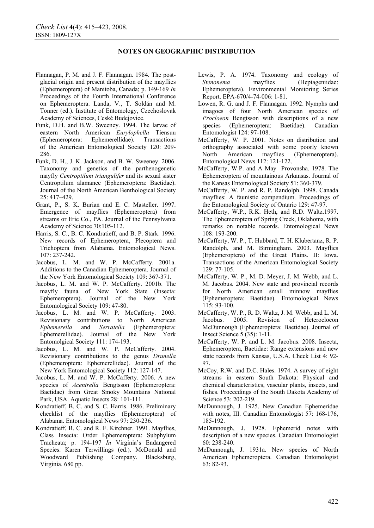- Flannagan, P. M. and J. F. Flannagan. 1984. The postglacial origin and present distribution of the mayflies (Ephemeroptera) of Manitoba, Canada; p. 149-169 *In* Proceedings of the Fourth International Conference on Ephemeroptera. Landa, V., T. Soldán and M. Tonner (ed.). Institute of Entomology, Czechoslovak Academy of Sciences, Ceské Budejovice.
- Funk, D.H. and B.W. Sweeney. 1994. The larvae of eastern North American *Eurylophella* Tiensuu (Ephemeroptera: Ephemerellidae). Transactions of the American Entomological Society 120: 209- 286.
- Funk, D. H., J. K. Jackson, and B. W. Sweeney. 2006. Taxonomy and genetics of the parthenogenetic mayfly *Centroptilum triangulifer* and its sexual sister Centroptilum alamance (Ephemeroptera: Baetidae). Journal of the North American Benthological Society  $25 \cdot 417 - 429$
- Grant, P., S. K. Burian and E. C. Masteller. 1997. Emergence of mayflies (Ephemeroptera) from streams or Erie Co., PA. Journal of the Pennsylvania Academy of Science 70:105-112.
- Harris, S. C., B. C. Kondratieff, and B. P. Stark. 1996. New records of Ephemeroptera, Plecoptera and Trichoptera from Alabama. Entomological News. 107: 237-242.
- Jacobus, L. M. and W. P. McCafferty. 2001a. Additions to the Canadian Ephemeroptera. Journal of the New York Entomological Society 109: 367-371.
- Jacobus, L. M. and W. P. McCafferty. 2001b. The mayfly fauna of New York State (Insecta: Ephemeroptera). Journal of the New York Entomological Society 109: 47-80.
- Jacobus, L. M. and W. P. McCafferty. 2003. Revisionary contributions to North American *Ephemerella* and *Serratella* (Ephemeroptera: Ephemerellidae). Journal of the New York Entomolgical Society 111: 174-193.
- Jacobus, L. M. and W. P. McCafferty. 2004. Revisionary contributions to the genus *Drunella* (Ephemeroptera: Ephemerellidae). Journal of the New York Entomological Society 112: 127-147.
- Jacobus, L. M. and W. P. McCafferty. 2006. A new species of *Acentrella* Bengtsson (Ephemeroptera: Baetidae) from Great Smoky Mountains National Park, USA. Aquatic Insects 28: 101-111.
- Kondratieff, B. C. and S. C. Harris. 1986. Preliminary checklist of the mayflies (Ephemeroptera) of Alabama. Entomological News 97: 230-236.
- Kondratieff, B. C. and R. F. Kirchner. 1991. Mayflies, Class Insecta: Order Ephemeroptera: Subphylum Tracheata; p. 194-197 *In* Virginia's Endangered Species. Karen Terwillings (ed.). McDonald and Woodward Publishing Company. Blacksburg, Virginia. 680 pp.
- Lewis, P. A. 1974. Taxonomy and ecology of *Stenonema* mayflies (Heptageniidae: Ephemeroptera). Environmental Monitoring Series Report. EPA-670/4-74-006: 1-81.
- Lowen, R. G. and J. F. Flannagan. 1992. Nymphs and imagoes of four North American species of *Procloeon* Bengtsson with descriptions of a new species (Ephemeroptera: Baetidae). Canadian Entomologist 124: 97-108.
- McCafferty, W. P. 2001. Notes on distribution and orthography associated with some poorly known<br>North American mayflies (Ephemeroptera). North American mayflies Entomological News 112: 121-122.
- McCafferty, W.P. and A May Provonsha. 1978. The Ephemeroptera of mountainous Arkansas. Journal of the Kansas Entomological Society 51: 360-379.
- McCafferty, W. P. and R. P. Randolph. 1998. Canada mayflies: A faunistic compendium. Proceedings of the Entomological Society of Ontario 129: 47-97.
- McCafferty, W.P., R.K. Heth, and R.D. Waltz.1997. The Ephemeroptera of Spring Creek, Oklahoma, with remarks on notable records. Entomological News 108: 193-200.
- McCafferty, W. P., T. Hubbard, T. H. Klubertanz, R. P. Randolph, and M. Birmingham. 2003. Mayflies (Ephemeroptera) of the Great Plains. II: Iowa. Transactions of the American Entomological Society 129: 77-105.
- McCafferty, W. P., M. D. Meyer, J. M. Webb, and L. M. Jacobus. 2004. New state and provincial records for North American small minnow mayflies (Ephemeroptera: Baetidae). Entomological News 115: 93-100.
- McCafferty, W. P., R. D. Waltz, J. M. Webb, and L. M. Jacobus. 2005. Revision of Heterocloeon McDunnough (Ephemeroptera: Baetidae). Journal of Insect Science 5 (35): 1-11.
- McCafferty, W. P. and L. M. Jacobus. 2008. Insecta, Ephemeroptera, Baetidae: Range extensions and new state records from Kansas, U.S.A. Check List 4: 92- 97.
- McCoy, R.W. and D.C. Hales. 1974. A survey of eight streams in eastern South Dakota: Physical and chemical characteristics, vascular plants, insects, and fishes. Proceedings of the South Dakota Academy of Science 53: 202-219.
- McDunnough, J. 1925. New Canadian Ephemeridae with notes, III. Canadian Entomologist 57: 168-176, 185-192.
- McDunnough, J. 1928. Ephemerid notes with description of a new species. Canadian Entomologist 60: 238-240.
- McDunnough, J. 1931a. New species of North American Ephemeroptera. Canadian Entomologist 63: 82-93.